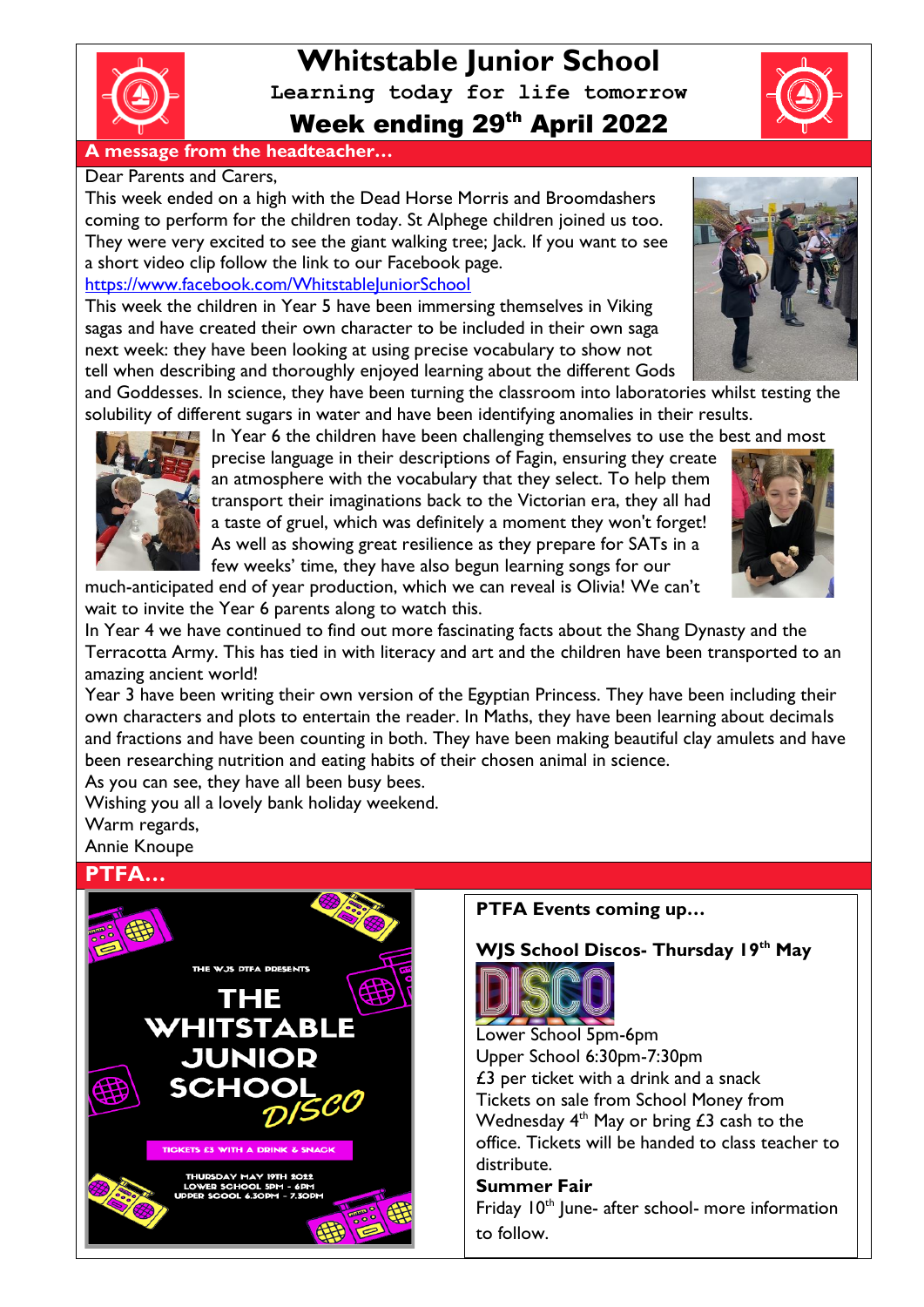

# **Whitstable Junior School Learning today for life tomorrow** Week ending 29th April 2022

### **A message from the headteacher…**

### Dear Parents and Carers,

This week ended on a high with the Dead Horse Morris and Broomdashers coming to perform for the children today. St Alphege children joined us too. They were very excited to see the giant walking tree; Jack. If you want to see a short video clip follow the link to our Facebook page.

### <https://www.facebook.com/WhitstableJuniorSchool>

This week the children in Year 5 have been immersing themselves in Viking sagas and have created their own character to be included in their own saga next week: they have been looking at using precise vocabulary to show not tell when describing and thoroughly enjoyed learning about the different Gods



In Year 6 the children have been challenging themselves to use the best and most

precise language in their descriptions of Fagin, ensuring they create an atmosphere with the vocabulary that they select. To help them transport their imaginations back to the Victorian era, they all had a taste of gruel, which was definitely a moment they won't forget! As well as showing great resilience as they prepare for SATs in a few weeks' time, they have also begun learning songs for our

much-anticipated end of year production, which we can reveal is Olivia! We can't wait to invite the Year 6 parents along to watch this.

In Year 4 we have continued to find out more fascinating facts about the Shang Dynasty and the Terracotta Army. This has tied in with literacy and art and the children have been transported to an amazing ancient world!

Year 3 have been writing their own version of the Egyptian Princess. They have been including their own characters and plots to entertain the reader. In Maths, they have been learning about decimals and fractions and have been counting in both. They have been making beautiful clay amulets and have been researching nutrition and eating habits of their chosen animal in science.

As you can see, they have all been busy bees.

Wishing you all a lovely bank holiday weekend.

Warm regards, Annie Knoupe

### **PTFA…**



### **PTFA Events coming up…**

**WJS School Discos- Thursday 19th May**



Lower School 5pm-6pm Upper School 6:30pm-7:30pm £3 per ticket with a drink and a snack Tickets on sale from School Money from Wednesday  $4<sup>th</sup>$  May or bring £3 cash to the office. Tickets will be handed to class teacher to distribute. **Summer Fair**

Friday  $10<sup>th</sup>$  June- after school- more information to follow.



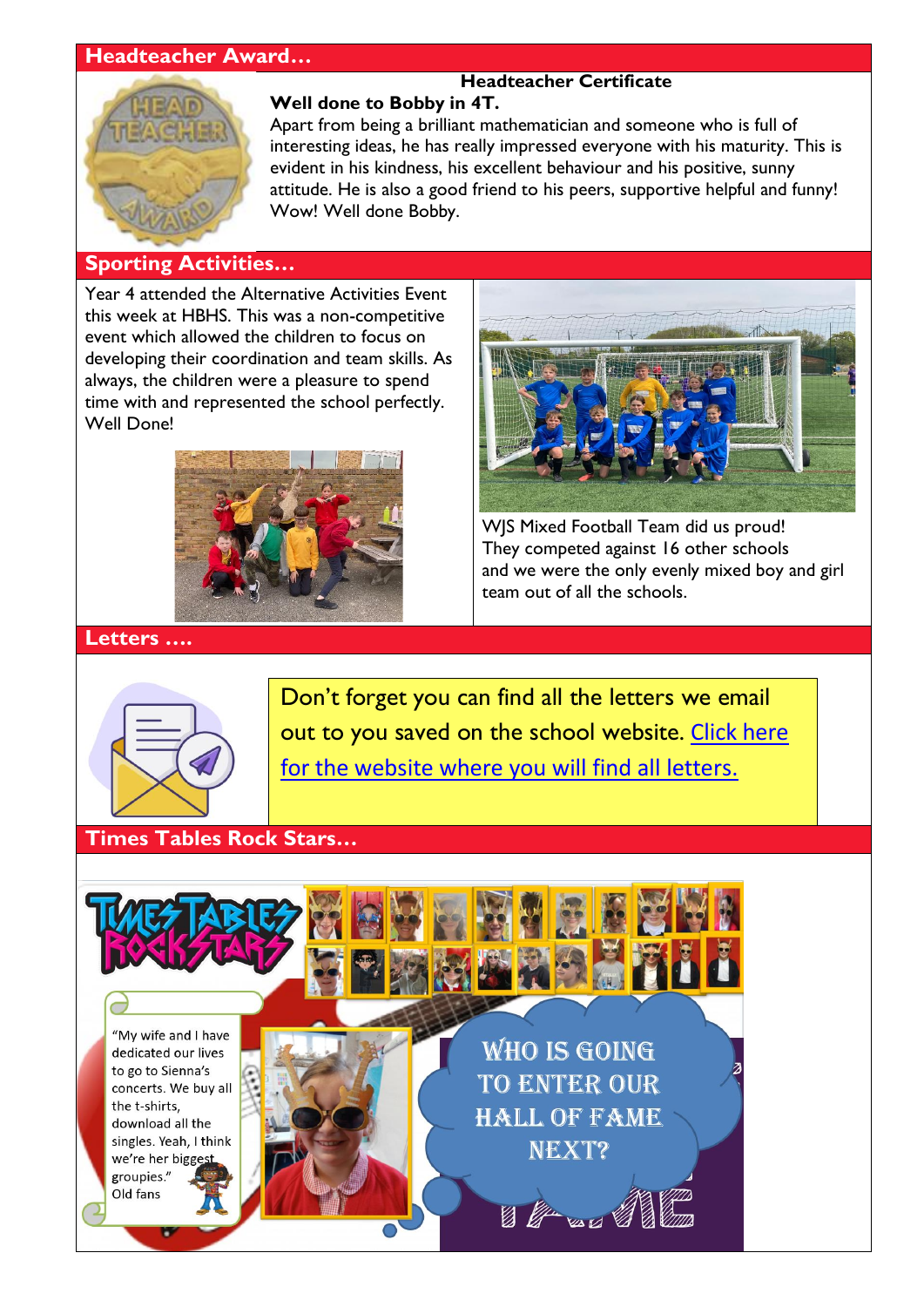## **Headteacher Award…**



## **Headteacher Certificate**

**Well done to Bobby in 4T.** Apart from being a brilliant mathematician and someone who is full of interesting ideas, he has really impressed everyone with his maturity. This is evident in his kindness, his excellent behaviour and his positive, sunny attitude. He is also a good friend to his peers, supportive helpful and funny! Wow! Well done Bobby.

### **Sporting Activities…**

Year 4 attended the Alternative Activities Event this week at HBHS. This was a non-competitive event which allowed the children to focus on developing their coordination and team skills. As always, the children were a pleasure to spend time with and represented the school perfectly. Well Done!





WJS Mixed Football Team did us proud! They competed against 16 other schools and we were the only evenly mixed boy and girl team out of all the schools.

### **Letters ….**



Don't forget you can find all the letters we email out to you saved on the school website. [Click here](http://www.whitstable-junior.kent.sch.uk/)  [for the website where you will find all letters.](http://www.whitstable-junior.kent.sch.uk/)

### **Times Tables Rock Stars…**